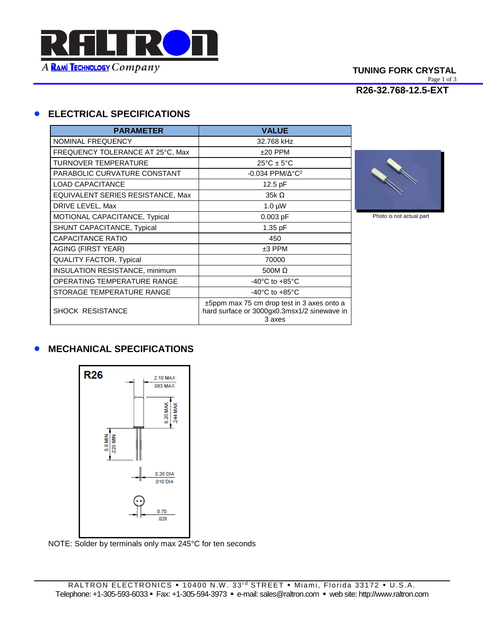

#### **TUNING FORK CRYSTAL** Page 1 of 3 **R26-32.768-12.5-EXT**

### **ELECTRICAL SPECIFICATIONS**

| <b>PARAMETER</b>                      | <b>VALUE</b>                                                                                             |
|---------------------------------------|----------------------------------------------------------------------------------------------------------|
| <b>NOMINAL FREQUENCY</b>              | 32.768 kHz                                                                                               |
| FREQUENCY TOLERANCE AT 25°C, Max      | $±20$ PPM                                                                                                |
| <b>TURNOVER TEMPERATURE</b>           | $25^{\circ}$ C ± 5°C                                                                                     |
| PARABOLIC CURVATURE CONSTANT          | $-0.034$ PPM/ $\Delta$ °C <sup>2</sup>                                                                   |
| <b>LOAD CAPACITANCE</b>               | 12.5 pF                                                                                                  |
| EQUIVALENT SERIES RESISTANCE, Max     | $35k\Omega$                                                                                              |
| DRIVE LEVEL, Max                      | $1.0 \mu W$                                                                                              |
| MOTIONAL CAPACITANCE, Typical         | $0.003$ pF                                                                                               |
| SHUNT CAPACITANCE, Typical            | 1.35 pF                                                                                                  |
| CAPACITANCE RATIO                     | 450                                                                                                      |
| <b>AGING (FIRST YEAR)</b>             | $±3$ PPM                                                                                                 |
| <b>QUALITY FACTOR, Typical</b>        | 70000                                                                                                    |
| <b>INSULATION RESISTANCE, minimum</b> | 500M $\Omega$                                                                                            |
| OPERATING TEMPERATURE RANGE           | -40 $^{\circ}$ C to +85 $^{\circ}$ C                                                                     |
| STORAGE TEMPERATURE RANGE             | $-40^{\circ}$ C to $+85^{\circ}$ C                                                                       |
| <b>SHOCK RESISTANCE</b>               | $\pm$ 5ppm max 75 cm drop test in 3 axes onto a<br>hard surface or 3000gx0.3msx1/2 sinewave in<br>3 axes |



Photo is not actual part

## **• MECHANICAL SPECIFICATIONS**



NOTE: Solder by terminals only max 245°C for ten seconds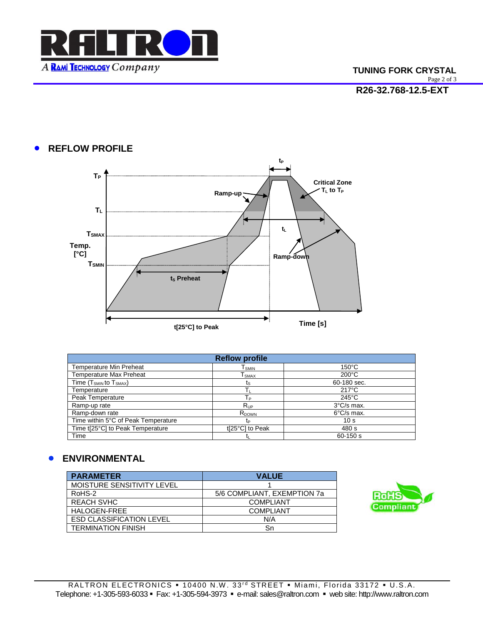

# **• REFLOW PROFILE**



| <b>Reflow profile</b>               |                   |                      |
|-------------------------------------|-------------------|----------------------|
| <b>Temperature Min Preheat</b>      | Tsmin             | $150^{\circ}$ C      |
| <b>Temperature Max Preheat</b>      | Tsmax             | $200^{\circ}$ C      |
| Time $(T_{SMIN}$ to $T_{SMAX}$ )    | ts                | 60-180 sec.          |
| Temperature                         |                   | $217^{\circ}$ C      |
| Peak Temperature                    | Tр                | $245^{\circ}$ C      |
| Ramp-up rate                        | $R_{UP}$          | $3^{\circ}$ C/s max. |
| Ramp-down rate                      | R <sub>DOWN</sub> | $6^{\circ}$ C/s max. |
| Time within 5°C of Peak Temperature | t <sub>P</sub>    | 10 <sub>s</sub>      |
| Time t[25°C] to Peak Temperature    | t[25°C] to Peak   | 480 s                |
| Time                                |                   | $60 - 150$ s         |

## **ENVIRONMENTAL**

| <b>PARAMETER</b>                | <b>VALUE</b>                |
|---------------------------------|-----------------------------|
| MOISTURE SENSITIVITY LEVEL      |                             |
| RoHS-2                          | 5/6 COMPLIANT, EXEMPTION 7a |
| <b>REACH SVHC</b>               | <b>COMPLIANT</b>            |
| HALOGEN-FREE                    | <b>COMPLIANT</b>            |
| <b>ESD CLASSIFICATION LEVEL</b> | N/A                         |
| <b>TERMINATION FINISH</b>       | Sn                          |